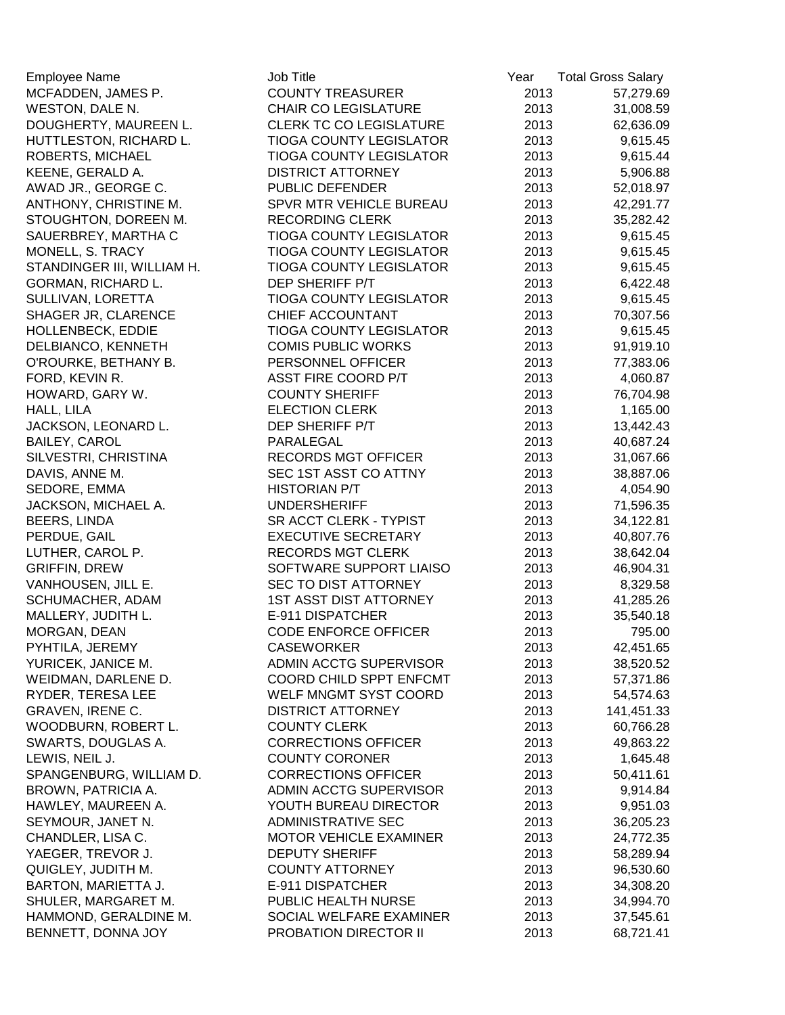| <b>Employee Name</b>       | Job Title                               | Year | <b>Total Gross Salary</b> |
|----------------------------|-----------------------------------------|------|---------------------------|
| MCFADDEN, JAMES P.         | <b>COUNTY TREASURER</b>                 | 2013 | 57,279.69                 |
| WESTON, DALE N.            | <b>CHAIR CO LEGISLATURE</b>             | 2013 | 31,008.59                 |
| DOUGHERTY, MAUREEN L.      | <b>CLERK TC CO LEGISLATURE</b>          | 2013 | 62,636.09                 |
| HUTTLESTON, RICHARD L.     | <b>TIOGA COUNTY LEGISLATOR</b>          | 2013 | 9,615.45                  |
| ROBERTS, MICHAEL           | <b>TIOGA COUNTY LEGISLATOR</b>          | 2013 | 9,615.44                  |
| KEENE, GERALD A.           | <b>DISTRICT ATTORNEY</b>                | 2013 | 5,906.88                  |
| AWAD JR., GEORGE C.        | PUBLIC DEFENDER                         | 2013 | 52,018.97                 |
| ANTHONY, CHRISTINE M.      | SPVR MTR VEHICLE BUREAU                 | 2013 | 42,291.77                 |
| STOUGHTON, DOREEN M.       | <b>RECORDING CLERK</b>                  | 2013 | 35,282.42                 |
| SAUERBREY, MARTHA C        | <b>TIOGA COUNTY LEGISLATOR</b>          | 2013 | 9,615.45                  |
| MONELL, S. TRACY           | <b>TIOGA COUNTY LEGISLATOR</b>          | 2013 | 9,615.45                  |
| STANDINGER III, WILLIAM H. | <b>TIOGA COUNTY LEGISLATOR</b>          | 2013 | 9,615.45                  |
| GORMAN, RICHARD L.         | DEP SHERIFF P/T                         | 2013 | 6,422.48                  |
| SULLIVAN, LORETTA          | <b>TIOGA COUNTY LEGISLATOR</b>          | 2013 | 9,615.45                  |
| SHAGER JR, CLARENCE        | CHIEF ACCOUNTANT                        | 2013 | 70,307.56                 |
| HOLLENBECK, EDDIE          | <b>TIOGA COUNTY LEGISLATOR</b>          | 2013 | 9,615.45                  |
| DELBIANCO, KENNETH         | <b>COMIS PUBLIC WORKS</b>               | 2013 | 91,919.10                 |
| O'ROURKE, BETHANY B.       | PERSONNEL OFFICER                       | 2013 | 77,383.06                 |
| FORD, KEVIN R.             | <b>ASST FIRE COORD P/T</b>              | 2013 | 4,060.87                  |
| HOWARD, GARY W.            | <b>COUNTY SHERIFF</b>                   | 2013 | 76,704.98                 |
| HALL, LILA                 | <b>ELECTION CLERK</b>                   | 2013 | 1,165.00                  |
| JACKSON, LEONARD L.        | DEP SHERIFF P/T                         | 2013 | 13,442.43                 |
| <b>BAILEY, CAROL</b>       | PARALEGAL                               | 2013 | 40,687.24                 |
| SILVESTRI, CHRISTINA       | RECORDS MGT OFFICER                     | 2013 | 31,067.66                 |
| DAVIS, ANNE M.             | SEC 1ST ASST CO ATTNY                   | 2013 | 38,887.06                 |
| SEDORE, EMMA               | <b>HISTORIAN P/T</b>                    | 2013 | 4,054.90                  |
| JACKSON, MICHAEL A.        | <b>UNDERSHERIFF</b>                     | 2013 | 71,596.35                 |
| BEERS, LINDA               | SR ACCT CLERK - TYPIST                  | 2013 | 34,122.81                 |
| PERDUE, GAIL               | <b>EXECUTIVE SECRETARY</b>              | 2013 | 40,807.76                 |
| LUTHER, CAROL P.           | <b>RECORDS MGT CLERK</b>                | 2013 | 38,642.04                 |
| <b>GRIFFIN, DREW</b>       | SOFTWARE SUPPORT LIAISO                 | 2013 | 46,904.31                 |
| VANHOUSEN, JILL E.         | SEC TO DIST ATTORNEY                    | 2013 | 8,329.58                  |
| SCHUMACHER, ADAM           | <b>1ST ASST DIST ATTORNEY</b>           | 2013 | 41,285.26                 |
| MALLERY, JUDITH L.         | E-911 DISPATCHER                        | 2013 | 35,540.18                 |
| MORGAN, DEAN               | <b>CODE ENFORCE OFFICER</b>             | 2013 | 795.00                    |
| PYHTILA, JEREMY            | <b>CASEWORKER</b>                       | 2013 | 42,451.65                 |
| YURICEK, JANICE M.         | ADMIN ACCTG SUPERVISOR                  | 2013 | 38,520.52                 |
| WEIDMAN, DARLENE D.        | COORD CHILD SPPT ENFCMT                 | 2013 | 57,371.86                 |
| RYDER, TERESA LEE          | WELF MNGMT SYST COORD                   | 2013 | 54,574.63                 |
| <b>GRAVEN, IRENE C.</b>    | <b>DISTRICT ATTORNEY</b>                | 2013 | 141,451.33                |
| WOODBURN, ROBERT L.        | <b>COUNTY CLERK</b>                     | 2013 | 60,766.28                 |
| SWARTS, DOUGLAS A.         | <b>CORRECTIONS OFFICER</b>              | 2013 | 49,863.22                 |
| LEWIS, NEIL J.             | <b>COUNTY CORONER</b>                   | 2013 | 1,645.48                  |
| SPANGENBURG, WILLIAM D.    | <b>CORRECTIONS OFFICER</b>              | 2013 | 50,411.61                 |
| BROWN, PATRICIA A.         | ADMIN ACCTG SUPERVISOR                  | 2013 | 9,914.84                  |
| HAWLEY, MAUREEN A.         | YOUTH BUREAU DIRECTOR                   | 2013 |                           |
| SEYMOUR, JANET N.          | <b>ADMINISTRATIVE SEC</b>               | 2013 | 9,951.03                  |
|                            | <b>MOTOR VEHICLE EXAMINER</b>           |      | 36,205.23                 |
| CHANDLER, LISA C.          |                                         | 2013 | 24,772.35                 |
| YAEGER, TREVOR J.          | <b>DEPUTY SHERIFF</b>                   | 2013 | 58,289.94                 |
| QUIGLEY, JUDITH M.         | <b>COUNTY ATTORNEY</b>                  | 2013 | 96,530.60                 |
| BARTON, MARIETTA J.        | E-911 DISPATCHER<br>PUBLIC HEALTH NURSE | 2013 | 34,308.20                 |
| SHULER, MARGARET M.        |                                         | 2013 | 34,994.70                 |
| HAMMOND, GERALDINE M.      | SOCIAL WELFARE EXAMINER                 | 2013 | 37,545.61                 |
| BENNETT, DONNA JOY         | PROBATION DIRECTOR II                   | 2013 | 68,721.41                 |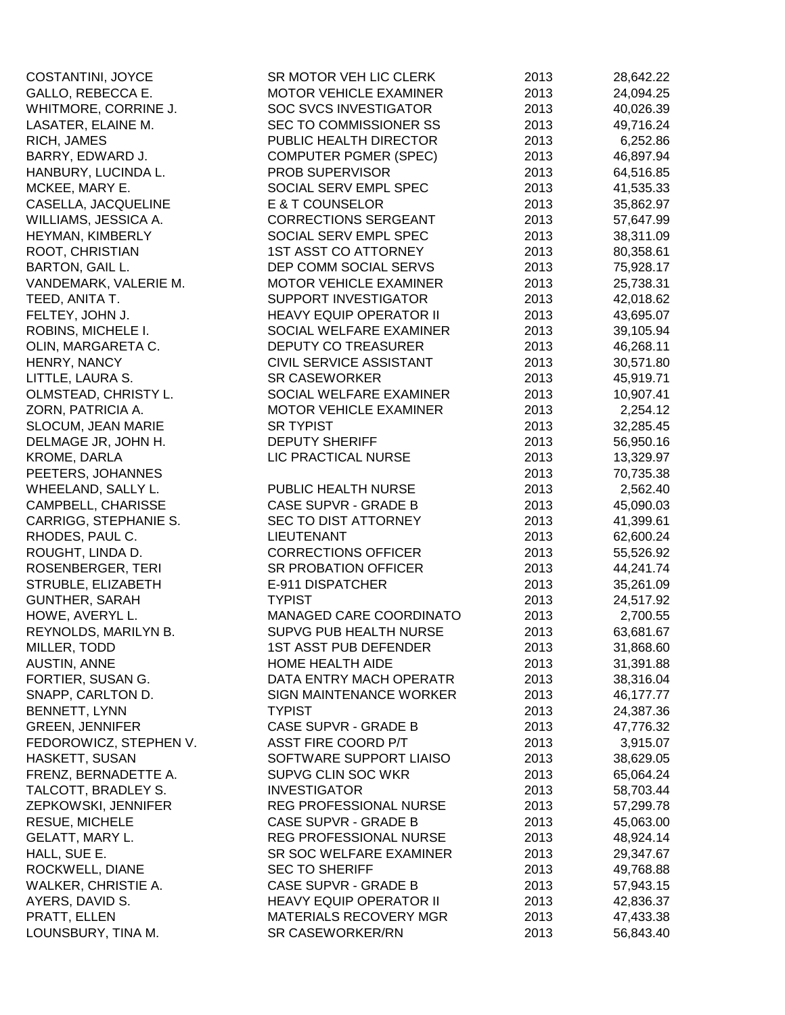| COSTANTINI, JOYCE      | SR MOTOR VEH LIC CLERK         | 2013 | 28,642.22 |
|------------------------|--------------------------------|------|-----------|
| GALLO, REBECCA E.      | <b>MOTOR VEHICLE EXAMINER</b>  | 2013 | 24,094.25 |
| WHITMORE, CORRINE J.   | <b>SOC SVCS INVESTIGATOR</b>   | 2013 | 40,026.39 |
| LASATER, ELAINE M.     | <b>SEC TO COMMISSIONER SS</b>  | 2013 | 49,716.24 |
| RICH, JAMES            | PUBLIC HEALTH DIRECTOR         | 2013 | 6,252.86  |
| BARRY, EDWARD J.       | <b>COMPUTER PGMER (SPEC)</b>   | 2013 | 46,897.94 |
| HANBURY, LUCINDA L.    | PROB SUPERVISOR                | 2013 | 64,516.85 |
| MCKEE, MARY E.         | SOCIAL SERV EMPL SPEC          | 2013 | 41,535.33 |
| CASELLA, JACQUELINE    | E & T COUNSELOR                | 2013 | 35,862.97 |
| WILLIAMS, JESSICA A.   | <b>CORRECTIONS SERGEANT</b>    | 2013 | 57,647.99 |
| HEYMAN, KIMBERLY       | SOCIAL SERV EMPL SPEC          | 2013 | 38,311.09 |
| ROOT, CHRISTIAN        | <b>1ST ASST CO ATTORNEY</b>    | 2013 | 80,358.61 |
| BARTON, GAIL L.        | DEP COMM SOCIAL SERVS          | 2013 | 75,928.17 |
| VANDEMARK, VALERIE M.  | <b>MOTOR VEHICLE EXAMINER</b>  | 2013 | 25,738.31 |
| TEED, ANITA T.         | <b>SUPPORT INVESTIGATOR</b>    | 2013 | 42,018.62 |
| FELTEY, JOHN J.        | <b>HEAVY EQUIP OPERATOR II</b> | 2013 | 43,695.07 |
| ROBINS, MICHELE I.     | SOCIAL WELFARE EXAMINER        | 2013 | 39,105.94 |
| OLIN, MARGARETA C.     | DEPUTY CO TREASURER            | 2013 | 46,268.11 |
| HENRY, NANCY           | <b>CIVIL SERVICE ASSISTANT</b> | 2013 | 30,571.80 |
| LITTLE, LAURA S.       | <b>SR CASEWORKER</b>           | 2013 | 45,919.71 |
| OLMSTEAD, CHRISTY L.   | SOCIAL WELFARE EXAMINER        | 2013 | 10,907.41 |
| ZORN, PATRICIA A.      | MOTOR VEHICLE EXAMINER         | 2013 | 2,254.12  |
| SLOCUM, JEAN MARIE     | <b>SR TYPIST</b>               | 2013 | 32,285.45 |
| DELMAGE JR, JOHN H.    | <b>DEPUTY SHERIFF</b>          | 2013 | 56,950.16 |
| KROME, DARLA           | LIC PRACTICAL NURSE            | 2013 | 13,329.97 |
| PEETERS, JOHANNES      |                                | 2013 | 70,735.38 |
| WHEELAND, SALLY L.     | PUBLIC HEALTH NURSE            | 2013 | 2,562.40  |
| CAMPBELL, CHARISSE     | CASE SUPVR - GRADE B           | 2013 | 45,090.03 |
| CARRIGG, STEPHANIE S.  | <b>SEC TO DIST ATTORNEY</b>    | 2013 | 41,399.61 |
| RHODES, PAUL C.        | <b>LIEUTENANT</b>              | 2013 | 62,600.24 |
| ROUGHT, LINDA D.       | <b>CORRECTIONS OFFICER</b>     | 2013 | 55,526.92 |
| ROSENBERGER, TERI      | SR PROBATION OFFICER           | 2013 | 44,241.74 |
| STRUBLE, ELIZABETH     | E-911 DISPATCHER               | 2013 | 35,261.09 |
| <b>GUNTHER, SARAH</b>  | <b>TYPIST</b>                  | 2013 | 24,517.92 |
| HOWE, AVERYL L.        | MANAGED CARE COORDINATO        | 2013 | 2,700.55  |
| REYNOLDS, MARILYN B.   | <b>SUPVG PUB HEALTH NURSE</b>  | 2013 | 63,681.67 |
| MILLER, TODD           | <b>1ST ASST PUB DEFENDER</b>   | 2013 | 31,868.60 |
| <b>AUSTIN, ANNE</b>    | HOME HEALTH AIDE               | 2013 | 31,391.88 |
| FORTIER, SUSAN G.      | DATA ENTRY MACH OPERATR        | 2013 | 38,316.04 |
| SNAPP, CARLTON D.      | <b>SIGN MAINTENANCE WORKER</b> | 2013 | 46,177.77 |
| BENNETT, LYNN          | <b>TYPIST</b>                  | 2013 | 24,387.36 |
| <b>GREEN, JENNIFER</b> | CASE SUPVR - GRADE B           | 2013 | 47,776.32 |
| FEDOROWICZ, STEPHEN V. | ASST FIRE COORD P/T            | 2013 | 3,915.07  |
| HASKETT, SUSAN         | SOFTWARE SUPPORT LIAISO        | 2013 | 38,629.05 |
| FRENZ, BERNADETTE A.   | SUPVG CLIN SOC WKR             | 2013 | 65,064.24 |
| TALCOTT, BRADLEY S.    | <b>INVESTIGATOR</b>            | 2013 | 58,703.44 |
| ZEPKOWSKI, JENNIFER    | REG PROFESSIONAL NURSE         | 2013 | 57,299.78 |
| RESUE, MICHELE         | CASE SUPVR - GRADE B           | 2013 | 45,063.00 |
| GELATT, MARY L.        | REG PROFESSIONAL NURSE         | 2013 | 48,924.14 |
| HALL, SUE E.           | SR SOC WELFARE EXAMINER        | 2013 | 29,347.67 |
| ROCKWELL, DIANE        | <b>SEC TO SHERIFF</b>          | 2013 | 49,768.88 |
| WALKER, CHRISTIE A.    | CASE SUPVR - GRADE B           | 2013 | 57,943.15 |
| AYERS, DAVID S.        | <b>HEAVY EQUIP OPERATOR II</b> | 2013 | 42,836.37 |
| PRATT, ELLEN           | <b>MATERIALS RECOVERY MGR</b>  | 2013 | 47,433.38 |
| LOUNSBURY, TINA M.     | SR CASEWORKER/RN               | 2013 | 56,843.40 |
|                        |                                |      |           |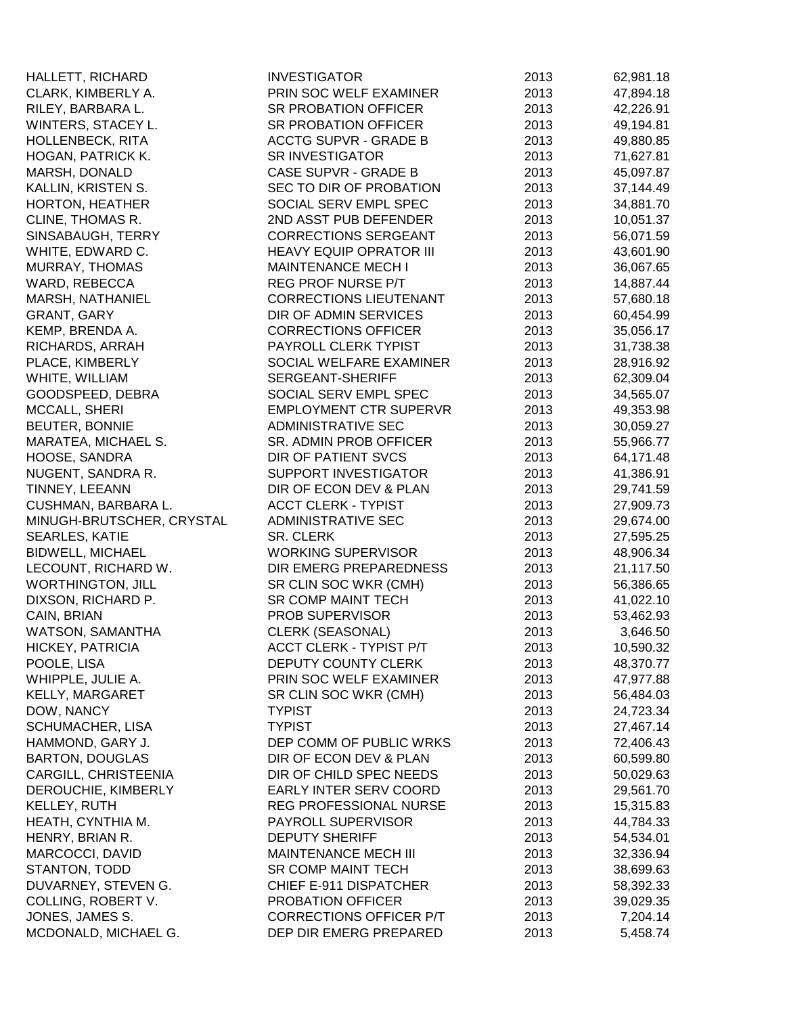| HALLETT, RICHARD          | <b>INVESTIGATOR</b>            | 2013 | 62,981.18 |
|---------------------------|--------------------------------|------|-----------|
| CLARK, KIMBERLY A.        | PRIN SOC WELF EXAMINER         | 2013 | 47,894.18 |
| RILEY, BARBARA L.         | <b>SR PROBATION OFFICER</b>    | 2013 | 42,226.91 |
| WINTERS, STACEY L.        | SR PROBATION OFFICER           | 2013 | 49,194.81 |
| <b>HOLLENBECK, RITA</b>   | <b>ACCTG SUPVR - GRADE B</b>   | 2013 | 49,880.85 |
| HOGAN, PATRICK K.         | <b>SR INVESTIGATOR</b>         | 2013 | 71,627.81 |
| MARSH, DONALD             | CASE SUPVR - GRADE B           | 2013 | 45,097.87 |
| KALLIN, KRISTEN S.        | SEC TO DIR OF PROBATION        | 2013 | 37,144.49 |
| HORTON, HEATHER           | SOCIAL SERV EMPL SPEC          | 2013 | 34,881.70 |
| CLINE, THOMAS R.          | 2ND ASST PUB DEFENDER          | 2013 | 10,051.37 |
| SINSABAUGH, TERRY         | <b>CORRECTIONS SERGEANT</b>    | 2013 | 56,071.59 |
| WHITE, EDWARD C.          | <b>HEAVY EQUIP OPRATOR III</b> | 2013 | 43,601.90 |
| MURRAY, THOMAS            | <b>MAINTENANCE MECH I</b>      | 2013 | 36,067.65 |
| WARD, REBECCA             | REG PROF NURSE P/T             | 2013 | 14,887.44 |
| MARSH, NATHANIEL          | <b>CORRECTIONS LIEUTENANT</b>  | 2013 | 57,680.18 |
| GRANT, GARY               | DIR OF ADMIN SERVICES          | 2013 | 60,454.99 |
| KEMP, BRENDA A.           | <b>CORRECTIONS OFFICER</b>     | 2013 | 35,056.17 |
| RICHARDS, ARRAH           | PAYROLL CLERK TYPIST           | 2013 | 31,738.38 |
| PLACE, KIMBERLY           | SOCIAL WELFARE EXAMINER        | 2013 | 28,916.92 |
| WHITE, WILLIAM            | SERGEANT-SHERIFF               | 2013 | 62,309.04 |
| GOODSPEED, DEBRA          | SOCIAL SERV EMPL SPEC          | 2013 | 34,565.07 |
| <b>MCCALL, SHERI</b>      | <b>EMPLOYMENT CTR SUPERVR</b>  | 2013 | 49,353.98 |
| <b>BEUTER, BONNIE</b>     | <b>ADMINISTRATIVE SEC</b>      | 2013 | 30,059.27 |
| MARATEA, MICHAEL S.       | SR. ADMIN PROB OFFICER         | 2013 | 55,966.77 |
| HOOSE, SANDRA             | DIR OF PATIENT SVCS            | 2013 | 64,171.48 |
| NUGENT, SANDRA R.         | SUPPORT INVESTIGATOR           | 2013 | 41,386.91 |
| TINNEY, LEEANN            | DIR OF ECON DEV & PLAN         | 2013 | 29,741.59 |
| CUSHMAN, BARBARA L.       | <b>ACCT CLERK - TYPIST</b>     | 2013 | 27,909.73 |
| MINUGH-BRUTSCHER, CRYSTAL | <b>ADMINISTRATIVE SEC</b>      | 2013 | 29,674.00 |
| SEARLES, KATIE            | <b>SR. CLERK</b>               | 2013 | 27,595.25 |
| <b>BIDWELL, MICHAEL</b>   | <b>WORKING SUPERVISOR</b>      | 2013 | 48,906.34 |
| LECOUNT, RICHARD W.       | DIR EMERG PREPAREDNESS         | 2013 | 21,117.50 |
| <b>WORTHINGTON, JILL</b>  | SR CLIN SOC WKR (CMH)          | 2013 | 56,386.65 |
| DIXSON, RICHARD P.        | <b>SR COMP MAINT TECH</b>      | 2013 | 41,022.10 |
| CAIN, BRIAN               | PROB SUPERVISOR                | 2013 | 53,462.93 |
| WATSON, SAMANTHA          | CLERK (SEASONAL)               | 2013 | 3,646.50  |
| HICKEY, PATRICIA          | <b>ACCT CLERK - TYPIST P/T</b> | 2013 | 10,590.32 |
| POOLE, LISA               | DEPUTY COUNTY CLERK            | 2013 | 48,370.77 |
| WHIPPLE, JULIE A.         | PRIN SOC WELF EXAMINER         | 2013 | 47,977.88 |
| <b>KELLY, MARGARET</b>    | SR CLIN SOC WKR (CMH)          | 2013 | 56,484.03 |
| DOW, NANCY                | <b>TYPIST</b>                  | 2013 | 24,723.34 |
| SCHUMACHER, LISA          | <b>TYPIST</b>                  | 2013 | 27,467.14 |
| HAMMOND, GARY J.          | DEP COMM OF PUBLIC WRKS        | 2013 | 72,406.43 |
| <b>BARTON, DOUGLAS</b>    | DIR OF ECON DEV & PLAN         | 2013 | 60,599.80 |
| CARGILL, CHRISTEENIA      | DIR OF CHILD SPEC NEEDS        | 2013 | 50,029.63 |
| DEROUCHIE, KIMBERLY       | EARLY INTER SERV COORD         | 2013 | 29,561.70 |
| KELLEY, RUTH              | REG PROFESSIONAL NURSE         | 2013 | 15,315.83 |
| HEATH, CYNTHIA M.         | PAYROLL SUPERVISOR             | 2013 | 44,784.33 |
| HENRY, BRIAN R.           | <b>DEPUTY SHERIFF</b>          | 2013 | 54,534.01 |
| MARCOCCI, DAVID           | MAINTENANCE MECH III           | 2013 | 32,336.94 |
| STANTON, TODD             | SR COMP MAINT TECH             | 2013 | 38,699.63 |
| DUVARNEY, STEVEN G.       | CHIEF E-911 DISPATCHER         | 2013 | 58,392.33 |
| COLLING, ROBERT V.        | PROBATION OFFICER              | 2013 | 39,029.35 |
| JONES, JAMES S.           | CORRECTIONS OFFICER P/T        | 2013 | 7,204.14  |
| MCDONALD, MICHAEL G.      | DEP DIR EMERG PREPARED         | 2013 | 5,458.74  |
|                           |                                |      |           |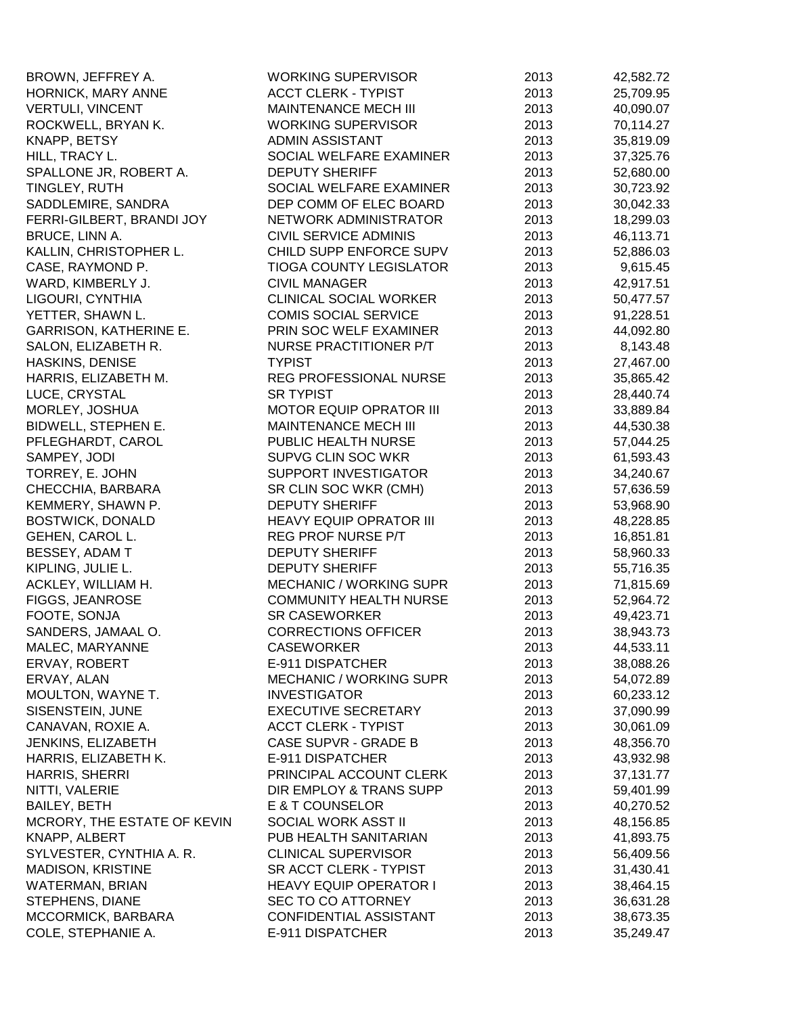| BROWN, JEFFREY A.           | <b>WORKING SUPERVISOR</b>      | 2013 | 42,582.72 |
|-----------------------------|--------------------------------|------|-----------|
| HORNICK, MARY ANNE          | <b>ACCT CLERK - TYPIST</b>     | 2013 | 25,709.95 |
| <b>VERTULI, VINCENT</b>     | <b>MAINTENANCE MECH III</b>    | 2013 | 40,090.07 |
| ROCKWELL, BRYAN K.          | <b>WORKING SUPERVISOR</b>      | 2013 | 70,114.27 |
| KNAPP, BETSY                | ADMIN ASSISTANT                | 2013 | 35,819.09 |
| HILL, TRACY L.              | SOCIAL WELFARE EXAMINER        | 2013 | 37,325.76 |
| SPALLONE JR, ROBERT A.      | <b>DEPUTY SHERIFF</b>          | 2013 | 52,680.00 |
| TINGLEY, RUTH               | SOCIAL WELFARE EXAMINER        | 2013 | 30,723.92 |
| SADDLEMIRE, SANDRA          | DEP COMM OF ELEC BOARD         | 2013 | 30,042.33 |
| FERRI-GILBERT, BRANDI JOY   | NETWORK ADMINISTRATOR          | 2013 | 18,299.03 |
| BRUCE, LINN A.              | <b>CIVIL SERVICE ADMINIS</b>   | 2013 | 46,113.71 |
| KALLIN, CHRISTOPHER L.      | CHILD SUPP ENFORCE SUPV        | 2013 | 52,886.03 |
| CASE, RAYMOND P.            | <b>TIOGA COUNTY LEGISLATOR</b> | 2013 | 9,615.45  |
| WARD, KIMBERLY J.           | <b>CIVIL MANAGER</b>           | 2013 | 42,917.51 |
| LIGOURI, CYNTHIA            | <b>CLINICAL SOCIAL WORKER</b>  | 2013 | 50,477.57 |
| YETTER, SHAWN L.            | <b>COMIS SOCIAL SERVICE</b>    | 2013 | 91,228.51 |
| GARRISON, KATHERINE E.      | PRIN SOC WELF EXAMINER         | 2013 | 44,092.80 |
| SALON, ELIZABETH R.         | <b>NURSE PRACTITIONER P/T</b>  | 2013 | 8,143.48  |
| <b>HASKINS, DENISE</b>      | <b>TYPIST</b>                  | 2013 | 27,467.00 |
| HARRIS, ELIZABETH M.        | REG PROFESSIONAL NURSE         | 2013 | 35,865.42 |
| LUCE, CRYSTAL               | <b>SR TYPIST</b>               | 2013 | 28,440.74 |
| MORLEY, JOSHUA              | <b>MOTOR EQUIP OPRATOR III</b> | 2013 | 33,889.84 |
| BIDWELL, STEPHEN E.         | <b>MAINTENANCE MECH III</b>    | 2013 | 44,530.38 |
| PFLEGHARDT, CAROL           | PUBLIC HEALTH NURSE            | 2013 | 57,044.25 |
| SAMPEY, JODI                | SUPVG CLIN SOC WKR             | 2013 | 61,593.43 |
| TORREY, E. JOHN             | SUPPORT INVESTIGATOR           | 2013 | 34,240.67 |
| CHECCHIA, BARBARA           | SR CLIN SOC WKR (CMH)          | 2013 | 57,636.59 |
| KEMMERY, SHAWN P.           | <b>DEPUTY SHERIFF</b>          | 2013 | 53,968.90 |
| <b>BOSTWICK, DONALD</b>     | <b>HEAVY EQUIP OPRATOR III</b> | 2013 | 48,228.85 |
| GEHEN, CAROL L.             | REG PROF NURSE P/T             | 2013 | 16,851.81 |
| BESSEY, ADAM T              | <b>DEPUTY SHERIFF</b>          | 2013 | 58,960.33 |
| KIPLING, JULIE L.           | <b>DEPUTY SHERIFF</b>          | 2013 | 55,716.35 |
| ACKLEY, WILLIAM H.          | <b>MECHANIC / WORKING SUPR</b> | 2013 | 71,815.69 |
| FIGGS, JEANROSE             | <b>COMMUNITY HEALTH NURSE</b>  | 2013 | 52,964.72 |
| FOOTE, SONJA                | <b>SR CASEWORKER</b>           | 2013 | 49,423.71 |
| SANDERS, JAMAAL O.          | <b>CORRECTIONS OFFICER</b>     | 2013 | 38,943.73 |
| MALEC, MARYANNE             | <b>CASEWORKER</b>              | 2013 | 44,533.11 |
| ERVAY, ROBERT               | E-911 DISPATCHER               | 2013 | 38,088.26 |
| ERVAY, ALAN                 | <b>MECHANIC / WORKING SUPR</b> | 2013 | 54,072.89 |
| MOULTON, WAYNE T.           | <b>INVESTIGATOR</b>            | 2013 | 60,233.12 |
| SISENSTEIN, JUNE            | <b>EXECUTIVE SECRETARY</b>     | 2013 | 37,090.99 |
| CANAVAN, ROXIE A.           | <b>ACCT CLERK - TYPIST</b>     | 2013 | 30,061.09 |
| JENKINS, ELIZABETH          | <b>CASE SUPVR - GRADE B</b>    | 2013 | 48,356.70 |
| HARRIS, ELIZABETH K.        | E-911 DISPATCHER               | 2013 | 43,932.98 |
| HARRIS, SHERRI              | PRINCIPAL ACCOUNT CLERK        | 2013 | 37,131.77 |
| NITTI, VALERIE              | DIR EMPLOY & TRANS SUPP        | 2013 | 59,401.99 |
| <b>BAILEY, BETH</b>         | E & T COUNSELOR                | 2013 | 40,270.52 |
| MCRORY, THE ESTATE OF KEVIN | SOCIAL WORK ASST II            | 2013 | 48,156.85 |
| KNAPP, ALBERT               | PUB HEALTH SANITARIAN          | 2013 | 41,893.75 |
| SYLVESTER, CYNTHIA A. R.    | <b>CLINICAL SUPERVISOR</b>     | 2013 | 56,409.56 |
| <b>MADISON, KRISTINE</b>    | SR ACCT CLERK - TYPIST         | 2013 | 31,430.41 |
| <b>WATERMAN, BRIAN</b>      | <b>HEAVY EQUIP OPERATOR I</b>  | 2013 | 38,464.15 |
| STEPHENS, DIANE             | SEC TO CO ATTORNEY             | 2013 | 36,631.28 |
| MCCORMICK, BARBARA          | CONFIDENTIAL ASSISTANT         | 2013 | 38,673.35 |
| COLE, STEPHANIE A.          | E-911 DISPATCHER               | 2013 | 35,249.47 |
|                             |                                |      |           |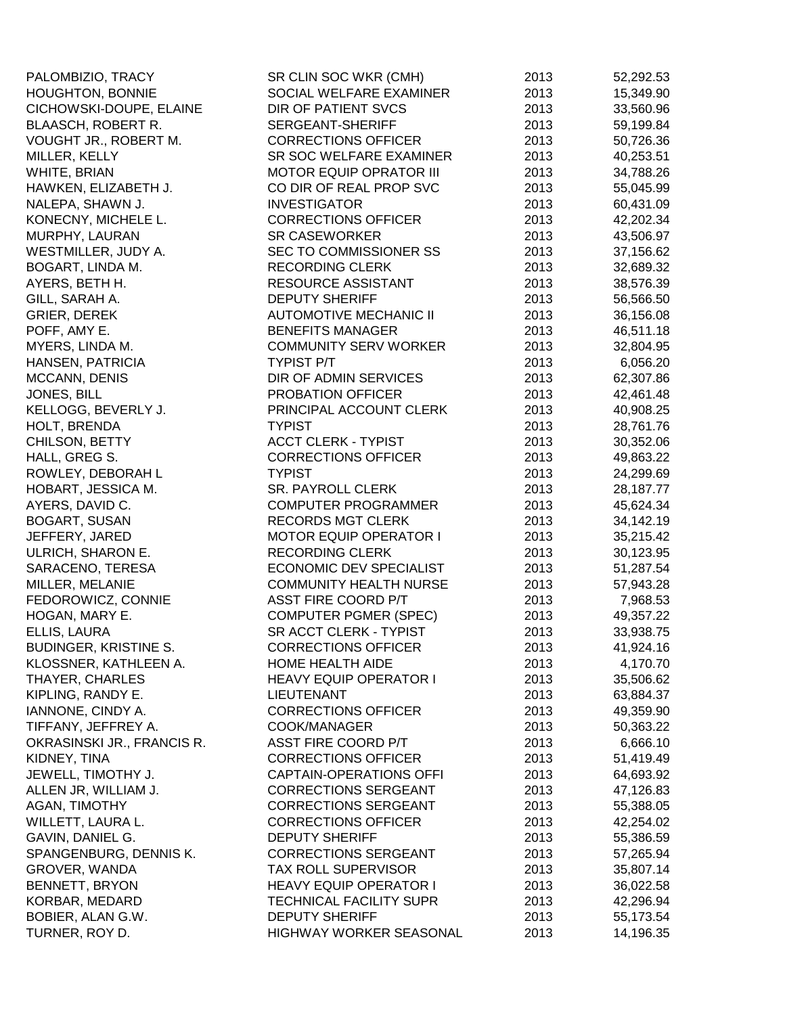| PALOMBIZIO, TRACY          | SR CLIN SOC WKR (CMH)          | 2013 | 52,292.53 |
|----------------------------|--------------------------------|------|-----------|
| <b>HOUGHTON, BONNIE</b>    | SOCIAL WELFARE EXAMINER        | 2013 | 15,349.90 |
| CICHOWSKI-DOUPE, ELAINE    | DIR OF PATIENT SVCS            | 2013 | 33,560.96 |
| BLAASCH, ROBERT R.         | SERGEANT-SHERIFF               | 2013 | 59,199.84 |
| VOUGHT JR., ROBERT M.      | <b>CORRECTIONS OFFICER</b>     | 2013 | 50,726.36 |
| MILLER, KELLY              | SR SOC WELFARE EXAMINER        | 2013 | 40,253.51 |
| WHITE, BRIAN               | <b>MOTOR EQUIP OPRATOR III</b> | 2013 | 34,788.26 |
| HAWKEN, ELIZABETH J.       | CO DIR OF REAL PROP SVC        | 2013 | 55,045.99 |
| NALEPA, SHAWN J.           | <b>INVESTIGATOR</b>            | 2013 | 60,431.09 |
| KONECNY, MICHELE L.        | <b>CORRECTIONS OFFICER</b>     | 2013 | 42,202.34 |
| MURPHY, LAURAN             | <b>SR CASEWORKER</b>           | 2013 | 43,506.97 |
| WESTMILLER, JUDY A.        | SEC TO COMMISSIONER SS         | 2013 | 37,156.62 |
| BOGART, LINDA M.           | <b>RECORDING CLERK</b>         | 2013 | 32,689.32 |
| AYERS, BETH H.             | RESOURCE ASSISTANT             | 2013 | 38,576.39 |
| GILL, SARAH A.             | <b>DEPUTY SHERIFF</b>          | 2013 | 56,566.50 |
| GRIER, DEREK               | <b>AUTOMOTIVE MECHANIC II</b>  | 2013 | 36,156.08 |
| POFF, AMY E.               | <b>BENEFITS MANAGER</b>        | 2013 | 46,511.18 |
| MYERS, LINDA M.            | <b>COMMUNITY SERV WORKER</b>   | 2013 | 32,804.95 |
| HANSEN, PATRICIA           | <b>TYPIST P/T</b>              | 2013 | 6,056.20  |
| MCCANN, DENIS              | DIR OF ADMIN SERVICES          | 2013 | 62,307.86 |
| JONES, BILL                | PROBATION OFFICER              | 2013 | 42,461.48 |
| KELLOGG, BEVERLY J.        | PRINCIPAL ACCOUNT CLERK        | 2013 | 40,908.25 |
| HOLT, BRENDA               | <b>TYPIST</b>                  | 2013 | 28,761.76 |
| CHILSON, BETTY             | <b>ACCT CLERK - TYPIST</b>     | 2013 | 30,352.06 |
| HALL, GREG S.              | <b>CORRECTIONS OFFICER</b>     | 2013 | 49,863.22 |
| ROWLEY, DEBORAH L          | <b>TYPIST</b>                  | 2013 | 24,299.69 |
| HOBART, JESSICA M.         | SR. PAYROLL CLERK              | 2013 | 28,187.77 |
| AYERS, DAVID C.            | <b>COMPUTER PROGRAMMER</b>     | 2013 | 45,624.34 |
| <b>BOGART, SUSAN</b>       | <b>RECORDS MGT CLERK</b>       | 2013 | 34,142.19 |
| JEFFERY, JARED             | <b>MOTOR EQUIP OPERATOR I</b>  | 2013 | 35,215.42 |
| ULRICH, SHARON E.          | <b>RECORDING CLERK</b>         | 2013 | 30,123.95 |
| SARACENO, TERESA           | ECONOMIC DEV SPECIALIST        | 2013 | 51,287.54 |
| MILLER, MELANIE            | <b>COMMUNITY HEALTH NURSE</b>  | 2013 | 57,943.28 |
| FEDOROWICZ, CONNIE         | ASST FIRE COORD P/T            | 2013 | 7,968.53  |
| HOGAN, MARY E.             | <b>COMPUTER PGMER (SPEC)</b>   | 2013 | 49,357.22 |
| ELLIS, LAURA               | SR ACCT CLERK - TYPIST         | 2013 | 33,938.75 |
| BUDINGER, KRISTINE S.      | <b>CORRECTIONS OFFICER</b>     | 2013 | 41,924.16 |
| KLOSSNER, KATHLEEN A.      | HOME HEALTH AIDE               | 2013 | 4,170.70  |
| <b>THAYER, CHARLES</b>     | <b>HEAVY EQUIP OPERATOR I</b>  | 2013 | 35,506.62 |
| KIPLING, RANDY E.          | <b>LIEUTENANT</b>              | 2013 | 63,884.37 |
| IANNONE, CINDY A.          | <b>CORRECTIONS OFFICER</b>     | 2013 | 49,359.90 |
| TIFFANY, JEFFREY A.        | COOK/MANAGER                   | 2013 | 50,363.22 |
| OKRASINSKI JR., FRANCIS R. | <b>ASST FIRE COORD P/T</b>     | 2013 | 6,666.10  |
| KIDNEY, TINA               | <b>CORRECTIONS OFFICER</b>     | 2013 | 51,419.49 |
| JEWELL, TIMOTHY J.         | <b>CAPTAIN-OPERATIONS OFFI</b> | 2013 | 64,693.92 |
| ALLEN JR, WILLIAM J.       | <b>CORRECTIONS SERGEANT</b>    | 2013 | 47,126.83 |
| AGAN, TIMOTHY              | <b>CORRECTIONS SERGEANT</b>    | 2013 | 55,388.05 |
| WILLETT, LAURA L.          | <b>CORRECTIONS OFFICER</b>     | 2013 | 42,254.02 |
| GAVIN, DANIEL G.           | <b>DEPUTY SHERIFF</b>          | 2013 | 55,386.59 |
| SPANGENBURG, DENNIS K.     | <b>CORRECTIONS SERGEANT</b>    | 2013 | 57,265.94 |
| GROVER, WANDA              | <b>TAX ROLL SUPERVISOR</b>     | 2013 | 35,807.14 |
| BENNETT, BRYON             | <b>HEAVY EQUIP OPERATOR I</b>  | 2013 | 36,022.58 |
| KORBAR, MEDARD             | TECHNICAL FACILITY SUPR        | 2013 | 42,296.94 |
| BOBIER, ALAN G.W.          | <b>DEPUTY SHERIFF</b>          | 2013 | 55,173.54 |
| TURNER, ROY D.             | HIGHWAY WORKER SEASONAL        | 2013 | 14,196.35 |
|                            |                                |      |           |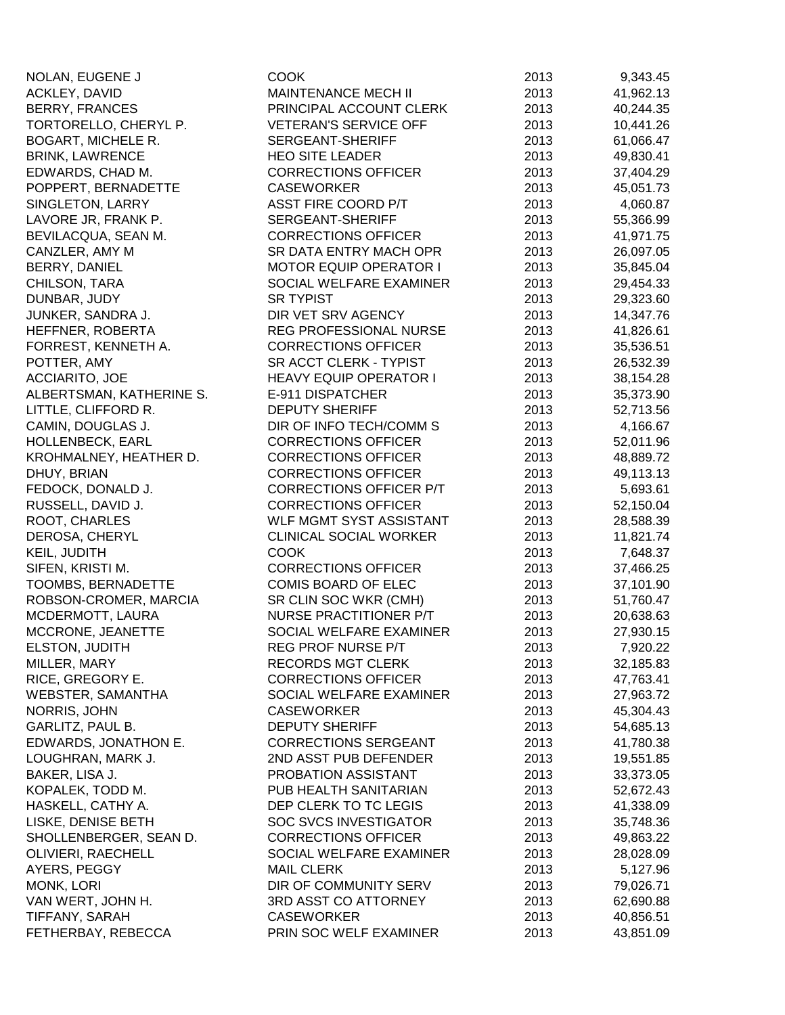| NOLAN, EUGENE J                    | COOK                           | 2013         | 9,343.45              |
|------------------------------------|--------------------------------|--------------|-----------------------|
| ACKLEY, DAVID                      | <b>MAINTENANCE MECH II</b>     | 2013         | 41,962.13             |
| <b>BERRY, FRANCES</b>              | PRINCIPAL ACCOUNT CLERK        | 2013         | 40,244.35             |
| TORTORELLO, CHERYL P.              | <b>VETERAN'S SERVICE OFF</b>   | 2013         | 10,441.26             |
| <b>BOGART, MICHELE R.</b>          | SERGEANT-SHERIFF               | 2013         | 61,066.47             |
| <b>BRINK, LAWRENCE</b>             | <b>HEO SITE LEADER</b>         | 2013         | 49,830.41             |
| EDWARDS, CHAD M.                   | <b>CORRECTIONS OFFICER</b>     | 2013         | 37,404.29             |
| POPPERT, BERNADETTE                | <b>CASEWORKER</b>              | 2013         | 45,051.73             |
| SINGLETON, LARRY                   | <b>ASST FIRE COORD P/T</b>     | 2013         | 4,060.87              |
| LAVORE JR, FRANK P.                | SERGEANT-SHERIFF               | 2013         | 55,366.99             |
| BEVILACQUA, SEAN M.                | <b>CORRECTIONS OFFICER</b>     | 2013         | 41,971.75             |
| CANZLER, AMY M                     | SR DATA ENTRY MACH OPR         | 2013         | 26,097.05             |
| BERRY, DANIEL                      | <b>MOTOR EQUIP OPERATOR I</b>  | 2013         | 35,845.04             |
| CHILSON, TARA                      | SOCIAL WELFARE EXAMINER        | 2013         | 29,454.33             |
| DUNBAR, JUDY                       | <b>SR TYPIST</b>               | 2013         | 29,323.60             |
| JUNKER, SANDRA J.                  | DIR VET SRV AGENCY             | 2013         | 14,347.76             |
| HEFFNER, ROBERTA                   | REG PROFESSIONAL NURSE         | 2013         | 41,826.61             |
| FORREST, KENNETH A.                | <b>CORRECTIONS OFFICER</b>     | 2013         | 35,536.51             |
| POTTER, AMY                        | SR ACCT CLERK - TYPIST         | 2013         | 26,532.39             |
| <b>ACCIARITO, JOE</b>              | <b>HEAVY EQUIP OPERATOR I</b>  | 2013         | 38,154.28             |
| ALBERTSMAN, KATHERINE S.           | E-911 DISPATCHER               | 2013         | 35,373.90             |
| LITTLE, CLIFFORD R.                | <b>DEPUTY SHERIFF</b>          | 2013         | 52,713.56             |
| CAMIN, DOUGLAS J.                  | DIR OF INFO TECH/COMM S        | 2013         | 4,166.67              |
| HOLLENBECK, EARL                   | <b>CORRECTIONS OFFICER</b>     | 2013         | 52,011.96             |
| KROHMALNEY, HEATHER D.             | <b>CORRECTIONS OFFICER</b>     | 2013         | 48,889.72             |
| DHUY, BRIAN                        | <b>CORRECTIONS OFFICER</b>     | 2013         | 49,113.13             |
| FEDOCK, DONALD J.                  | <b>CORRECTIONS OFFICER P/T</b> | 2013         | 5,693.61              |
| RUSSELL, DAVID J.                  | <b>CORRECTIONS OFFICER</b>     | 2013         | 52,150.04             |
| ROOT, CHARLES                      | WLF MGMT SYST ASSISTANT        | 2013         | 28,588.39             |
| DEROSA, CHERYL                     | <b>CLINICAL SOCIAL WORKER</b>  | 2013         | 11,821.74             |
| KEIL, JUDITH                       | <b>COOK</b>                    | 2013         | 7,648.37              |
| SIFEN, KRISTI M.                   | <b>CORRECTIONS OFFICER</b>     | 2013         | 37,466.25             |
| <b>TOOMBS, BERNADETTE</b>          | COMIS BOARD OF ELEC            | 2013         | 37,101.90             |
| ROBSON-CROMER, MARCIA              | SR CLIN SOC WKR (CMH)          | 2013         | 51,760.47             |
| MCDERMOTT, LAURA                   | NURSE PRACTITIONER P/T         | 2013         | 20,638.63             |
| MCCRONE, JEANETTE                  | SOCIAL WELFARE EXAMINER        | 2013         | 27,930.15             |
| ELSTON, JUDITH                     | REG PROF NURSE P/T             | 2013         | 7,920.22              |
| MILLER, MARY                       | <b>RECORDS MGT CLERK</b>       | 2013         | 32,185.83             |
| RICE, GREGORY E.                   | <b>CORRECTIONS OFFICER</b>     | 2013         | 47,763.41             |
| <b>WEBSTER, SAMANTHA</b>           | SOCIAL WELFARE EXAMINER        | 2013         | 27,963.72             |
| NORRIS, JOHN                       | <b>CASEWORKER</b>              | 2013         | 45,304.43             |
| <b>GARLITZ, PAUL B.</b>            | <b>DEPUTY SHERIFF</b>          | 2013         | 54,685.13             |
| EDWARDS, JONATHON E.               | <b>CORRECTIONS SERGEANT</b>    | 2013         | 41,780.38             |
| LOUGHRAN, MARK J.                  | 2ND ASST PUB DEFENDER          | 2013         | 19,551.85             |
| BAKER, LISA J.                     | PROBATION ASSISTANT            | 2013         | 33,373.05             |
| KOPALEK, TODD M.                   | PUB HEALTH SANITARIAN          | 2013         | 52,672.43             |
| HASKELL, CATHY A.                  | DEP CLERK TO TC LEGIS          | 2013         | 41,338.09             |
| LISKE, DENISE BETH                 | <b>SOC SVCS INVESTIGATOR</b>   | 2013         | 35,748.36             |
| SHOLLENBERGER, SEAN D.             | <b>CORRECTIONS OFFICER</b>     | 2013         | 49,863.22             |
|                                    | SOCIAL WELFARE EXAMINER        |              |                       |
| OLIVIERI, RAECHELL<br>AYERS, PEGGY | <b>MAIL CLERK</b>              | 2013<br>2013 | 28,028.09<br>5,127.96 |
| MONK, LORI                         | DIR OF COMMUNITY SERV          | 2013         | 79,026.71             |
| VAN WERT, JOHN H.                  | 3RD ASST CO ATTORNEY           | 2013         | 62,690.88             |
| TIFFANY, SARAH                     | <b>CASEWORKER</b>              | 2013         | 40,856.51             |
| FETHERBAY, REBECCA                 | PRIN SOC WELF EXAMINER         | 2013         | 43,851.09             |
|                                    |                                |              |                       |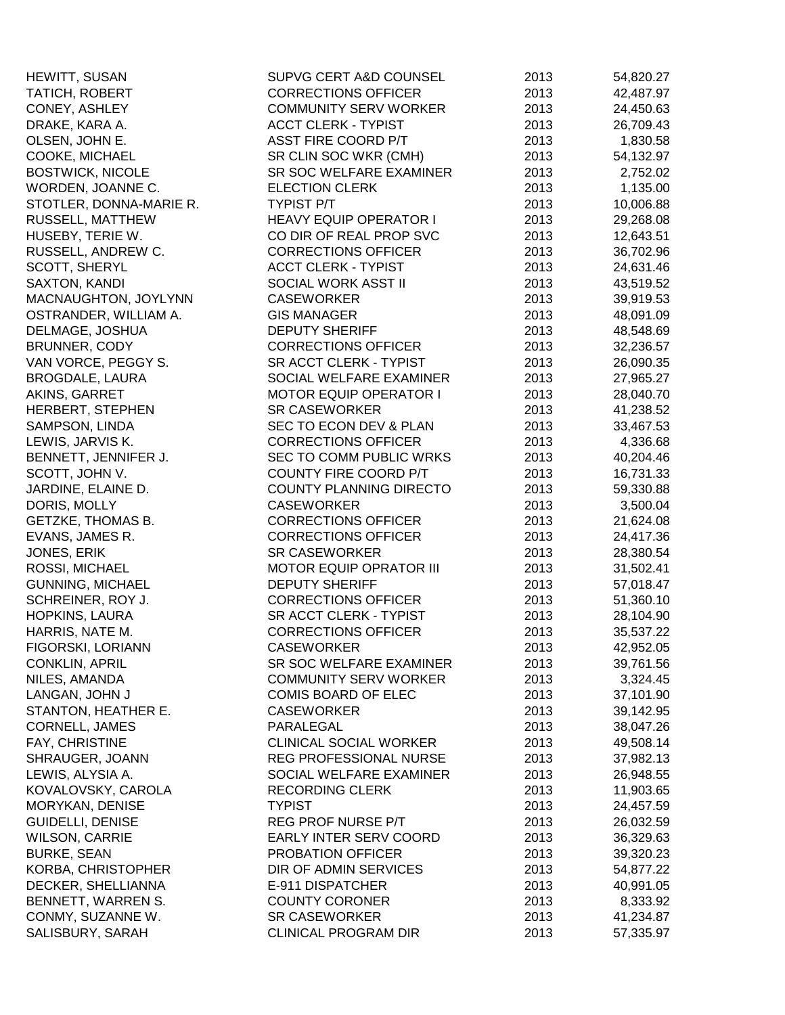| HEWITT, SUSAN             | SUPVG CERT A&D COUNSEL         | 2013 | 54,820.27 |
|---------------------------|--------------------------------|------|-----------|
| TATICH, ROBERT            | <b>CORRECTIONS OFFICER</b>     | 2013 | 42,487.97 |
| CONEY, ASHLEY             | <b>COMMUNITY SERV WORKER</b>   | 2013 | 24,450.63 |
| DRAKE, KARA A.            | <b>ACCT CLERK - TYPIST</b>     | 2013 | 26,709.43 |
| OLSEN, JOHN E.            | ASST FIRE COORD P/T            | 2013 | 1,830.58  |
| COOKE, MICHAEL            | SR CLIN SOC WKR (CMH)          | 2013 | 54,132.97 |
| <b>BOSTWICK, NICOLE</b>   | SR SOC WELFARE EXAMINER        | 2013 | 2,752.02  |
| WORDEN, JOANNE C.         | <b>ELECTION CLERK</b>          | 2013 | 1,135.00  |
| STOTLER, DONNA-MARIE R.   | <b>TYPIST P/T</b>              | 2013 | 10,006.88 |
| RUSSELL, MATTHEW          | <b>HEAVY EQUIP OPERATOR I</b>  | 2013 | 29,268.08 |
| HUSEBY, TERIE W.          | CO DIR OF REAL PROP SVC        | 2013 | 12,643.51 |
| RUSSELL, ANDREW C.        | <b>CORRECTIONS OFFICER</b>     | 2013 | 36,702.96 |
| SCOTT, SHERYL             | <b>ACCT CLERK - TYPIST</b>     | 2013 | 24,631.46 |
| SAXTON, KANDI             | SOCIAL WORK ASST II            | 2013 | 43,519.52 |
| MACNAUGHTON, JOYLYNN      | <b>CASEWORKER</b>              | 2013 | 39,919.53 |
| OSTRANDER, WILLIAM A.     | <b>GIS MANAGER</b>             | 2013 | 48,091.09 |
| DELMAGE, JOSHUA           | <b>DEPUTY SHERIFF</b>          | 2013 | 48,548.69 |
| BRUNNER, CODY             | <b>CORRECTIONS OFFICER</b>     | 2013 | 32,236.57 |
| VAN VORCE, PEGGY S.       | SR ACCT CLERK - TYPIST         | 2013 | 26,090.35 |
| <b>BROGDALE, LAURA</b>    | SOCIAL WELFARE EXAMINER        | 2013 | 27,965.27 |
| AKINS, GARRET             | <b>MOTOR EQUIP OPERATOR I</b>  | 2013 | 28,040.70 |
| HERBERT, STEPHEN          | <b>SR CASEWORKER</b>           | 2013 | 41,238.52 |
| SAMPSON, LINDA            | SEC TO ECON DEV & PLAN         | 2013 | 33,467.53 |
| LEWIS, JARVIS K.          | <b>CORRECTIONS OFFICER</b>     | 2013 | 4,336.68  |
| BENNETT, JENNIFER J.      | SEC TO COMM PUBLIC WRKS        | 2013 | 40,204.46 |
| SCOTT, JOHN V.            | COUNTY FIRE COORD P/T          | 2013 | 16,731.33 |
| JARDINE, ELAINE D.        | COUNTY PLANNING DIRECTO        | 2013 | 59,330.88 |
| DORIS, MOLLY              | <b>CASEWORKER</b>              | 2013 | 3,500.04  |
| GETZKE, THOMAS B.         | <b>CORRECTIONS OFFICER</b>     | 2013 | 21,624.08 |
| EVANS, JAMES R.           | <b>CORRECTIONS OFFICER</b>     | 2013 | 24,417.36 |
| JONES, ERIK               | <b>SR CASEWORKER</b>           | 2013 | 28,380.54 |
| ROSSI, MICHAEL            | <b>MOTOR EQUIP OPRATOR III</b> | 2013 | 31,502.41 |
| <b>GUNNING, MICHAEL</b>   | <b>DEPUTY SHERIFF</b>          | 2013 | 57,018.47 |
| SCHREINER, ROY J.         | <b>CORRECTIONS OFFICER</b>     | 2013 | 51,360.10 |
| HOPKINS, LAURA            | SR ACCT CLERK - TYPIST         | 2013 | 28,104.90 |
| HARRIS, NATE M.           | <b>CORRECTIONS OFFICER</b>     | 2013 | 35,537.22 |
| FIGORSKI, LORIANN         | <b>CASEWORKER</b>              | 2013 | 42,952.05 |
| <b>CONKLIN, APRIL</b>     | SR SOC WELFARE EXAMINER        | 2013 | 39,761.56 |
| NILES, AMANDA             | <b>COMMUNITY SERV WORKER</b>   | 2013 | 3,324.45  |
| LANGAN, JOHN J            | <b>COMIS BOARD OF ELEC</b>     | 2013 | 37,101.90 |
| STANTON, HEATHER E.       | <b>CASEWORKER</b>              | 2013 | 39,142.95 |
| <b>CORNELL, JAMES</b>     | PARALEGAL                      | 2013 | 38,047.26 |
| FAY, CHRISTINE            | <b>CLINICAL SOCIAL WORKER</b>  | 2013 | 49,508.14 |
| SHRAUGER, JOANN           | REG PROFESSIONAL NURSE         | 2013 | 37,982.13 |
| LEWIS, ALYSIA A.          | SOCIAL WELFARE EXAMINER        | 2013 | 26,948.55 |
| KOVALOVSKY, CAROLA        | <b>RECORDING CLERK</b>         | 2013 | 11,903.65 |
| MORYKAN, DENISE           | <b>TYPIST</b>                  | 2013 | 24,457.59 |
| <b>GUIDELLI, DENISE</b>   | REG PROF NURSE P/T             | 2013 | 26,032.59 |
| <b>WILSON, CARRIE</b>     | EARLY INTER SERV COORD         | 2013 | 36,329.63 |
| <b>BURKE, SEAN</b>        | PROBATION OFFICER              | 2013 | 39,320.23 |
| <b>KORBA, CHRISTOPHER</b> | DIR OF ADMIN SERVICES          | 2013 | 54,877.22 |
| DECKER, SHELLIANNA        | E-911 DISPATCHER               | 2013 | 40,991.05 |
| BENNETT, WARREN S.        | <b>COUNTY CORONER</b>          | 2013 | 8,333.92  |
| CONMY, SUZANNE W.         | <b>SR CASEWORKER</b>           | 2013 | 41,234.87 |
| SALISBURY, SARAH          | <b>CLINICAL PROGRAM DIR</b>    | 2013 | 57,335.97 |
|                           |                                |      |           |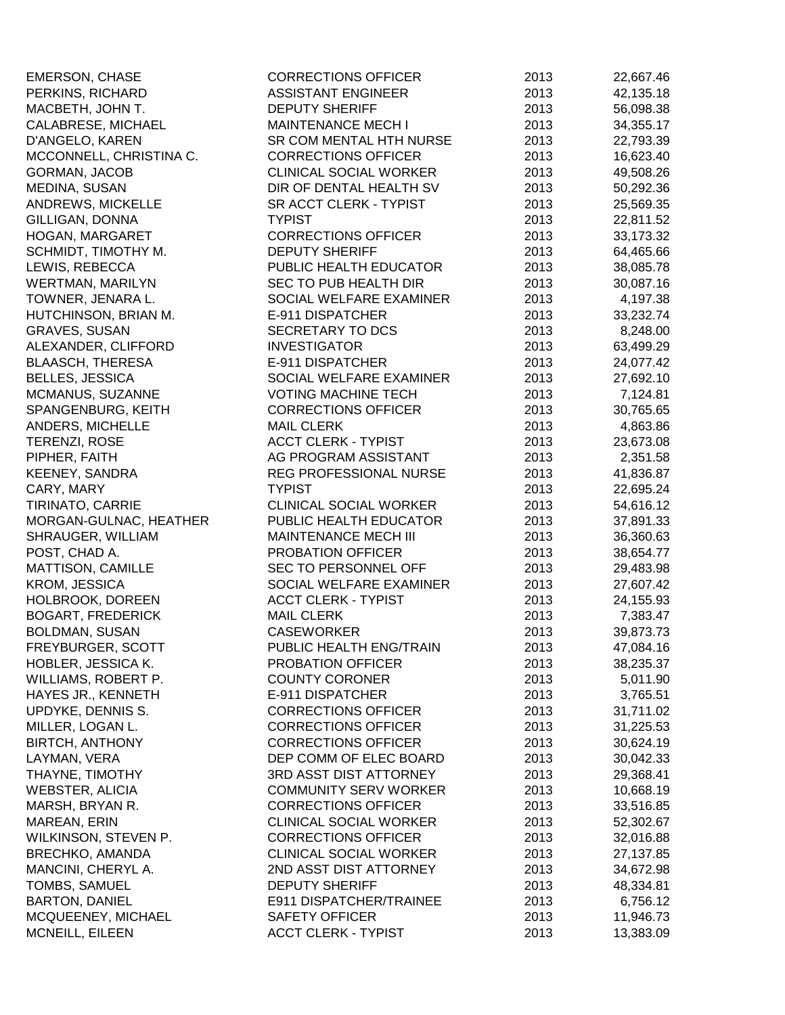| <b>EMERSON, CHASE</b>     | <b>CORRECTIONS OFFICER</b>    | 2013 | 22,667.46 |
|---------------------------|-------------------------------|------|-----------|
| PERKINS, RICHARD          | <b>ASSISTANT ENGINEER</b>     | 2013 | 42,135.18 |
| MACBETH, JOHN T.          | <b>DEPUTY SHERIFF</b>         | 2013 | 56,098.38 |
| CALABRESE, MICHAEL        | <b>MAINTENANCE MECH I</b>     | 2013 | 34,355.17 |
| D'ANGELO, KAREN           | SR COM MENTAL HTH NURSE       | 2013 | 22,793.39 |
| MCCONNELL, CHRISTINA C.   | <b>CORRECTIONS OFFICER</b>    | 2013 | 16,623.40 |
| <b>GORMAN, JACOB</b>      | <b>CLINICAL SOCIAL WORKER</b> | 2013 | 49,508.26 |
| MEDINA, SUSAN             | DIR OF DENTAL HEALTH SV       | 2013 | 50,292.36 |
| <b>ANDREWS, MICKELLE</b>  | SR ACCT CLERK - TYPIST        | 2013 | 25,569.35 |
| GILLIGAN, DONNA           | <b>TYPIST</b>                 | 2013 | 22,811.52 |
| HOGAN, MARGARET           | <b>CORRECTIONS OFFICER</b>    | 2013 | 33,173.32 |
| SCHMIDT, TIMOTHY M.       | <b>DEPUTY SHERIFF</b>         | 2013 | 64,465.66 |
| LEWIS, REBECCA            | PUBLIC HEALTH EDUCATOR        | 2013 | 38,085.78 |
| WERTMAN, MARILYN          | SEC TO PUB HEALTH DIR         | 2013 | 30,087.16 |
| TOWNER, JENARA L.         | SOCIAL WELFARE EXAMINER       | 2013 | 4,197.38  |
| HUTCHINSON, BRIAN M.      | E-911 DISPATCHER              | 2013 | 33,232.74 |
| <b>GRAVES, SUSAN</b>      | SECRETARY TO DCS              | 2013 | 8,248.00  |
| ALEXANDER, CLIFFORD       | <b>INVESTIGATOR</b>           | 2013 | 63,499.29 |
| <b>BLAASCH, THERESA</b>   | E-911 DISPATCHER              | 2013 | 24,077.42 |
| <b>BELLES, JESSICA</b>    | SOCIAL WELFARE EXAMINER       | 2013 | 27,692.10 |
| MCMANUS, SUZANNE          | <b>VOTING MACHINE TECH</b>    | 2013 | 7,124.81  |
| SPANGENBURG, KEITH        | <b>CORRECTIONS OFFICER</b>    | 2013 | 30,765.65 |
| ANDERS, MICHELLE          | <b>MAIL CLERK</b>             | 2013 | 4,863.86  |
| TERENZI, ROSE             | <b>ACCT CLERK - TYPIST</b>    | 2013 | 23,673.08 |
| PIPHER, FAITH             | AG PROGRAM ASSISTANT          | 2013 | 2,351.58  |
| <b>KEENEY, SANDRA</b>     | REG PROFESSIONAL NURSE        | 2013 | 41,836.87 |
| CARY, MARY                | <b>TYPIST</b>                 | 2013 | 22,695.24 |
| TIRINATO, CARRIE          | <b>CLINICAL SOCIAL WORKER</b> | 2013 | 54,616.12 |
| MORGAN-GULNAC, HEATHER    | PUBLIC HEALTH EDUCATOR        | 2013 | 37,891.33 |
| SHRAUGER, WILLIAM         | <b>MAINTENANCE MECH III</b>   | 2013 | 36,360.63 |
| POST, CHAD A.             | PROBATION OFFICER             | 2013 | 38,654.77 |
| <b>MATTISON, CAMILLE</b>  | SEC TO PERSONNEL OFF          | 2013 | 29,483.98 |
| KROM, JESSICA             | SOCIAL WELFARE EXAMINER       | 2013 | 27,607.42 |
| HOLBROOK, DOREEN          | <b>ACCT CLERK - TYPIST</b>    | 2013 | 24,155.93 |
| <b>BOGART, FREDERICK</b>  | <b>MAIL CLERK</b>             | 2013 | 7,383.47  |
| <b>BOLDMAN, SUSAN</b>     | <b>CASEWORKER</b>             | 2013 | 39,873.73 |
| FREYBURGER, SCOTT         | PUBLIC HEALTH ENG/TRAIN       | 2013 | 47,084.16 |
| HOBLER, JESSICA K.        | PROBATION OFFICER             | 2013 | 38,235.37 |
| WILLIAMS, ROBERT P.       | <b>COUNTY CORONER</b>         | 2013 | 5,011.90  |
| <b>HAYES JR., KENNETH</b> | E-911 DISPATCHER              | 2013 | 3,765.51  |
| UPDYKE, DENNIS S.         | <b>CORRECTIONS OFFICER</b>    | 2013 | 31,711.02 |
| MILLER, LOGAN L.          | <b>CORRECTIONS OFFICER</b>    | 2013 | 31,225.53 |
| <b>BIRTCH, ANTHONY</b>    | <b>CORRECTIONS OFFICER</b>    | 2013 | 30,624.19 |
| LAYMAN, VERA              | DEP COMM OF ELEC BOARD        | 2013 | 30,042.33 |
| THAYNE, TIMOTHY           | 3RD ASST DIST ATTORNEY        | 2013 | 29,368.41 |
| WEBSTER, ALICIA           | <b>COMMUNITY SERV WORKER</b>  | 2013 | 10,668.19 |
| MARSH, BRYAN R.           | <b>CORRECTIONS OFFICER</b>    | 2013 | 33,516.85 |
| MAREAN, ERIN              | <b>CLINICAL SOCIAL WORKER</b> | 2013 | 52,302.67 |
| WILKINSON, STEVEN P.      | <b>CORRECTIONS OFFICER</b>    | 2013 | 32,016.88 |
| <b>BRECHKO, AMANDA</b>    | <b>CLINICAL SOCIAL WORKER</b> | 2013 | 27,137.85 |
| MANCINI, CHERYL A.        | 2ND ASST DIST ATTORNEY        | 2013 | 34,672.98 |
| TOMBS, SAMUEL             | <b>DEPUTY SHERIFF</b>         | 2013 | 48,334.81 |
| <b>BARTON, DANIEL</b>     | E911 DISPATCHER/TRAINEE       | 2013 | 6,756.12  |
| MCQUEENEY, MICHAEL        | <b>SAFETY OFFICER</b>         | 2013 | 11,946.73 |
| MCNEILL, EILEEN           | <b>ACCT CLERK - TYPIST</b>    | 2013 | 13,383.09 |
|                           |                               |      |           |